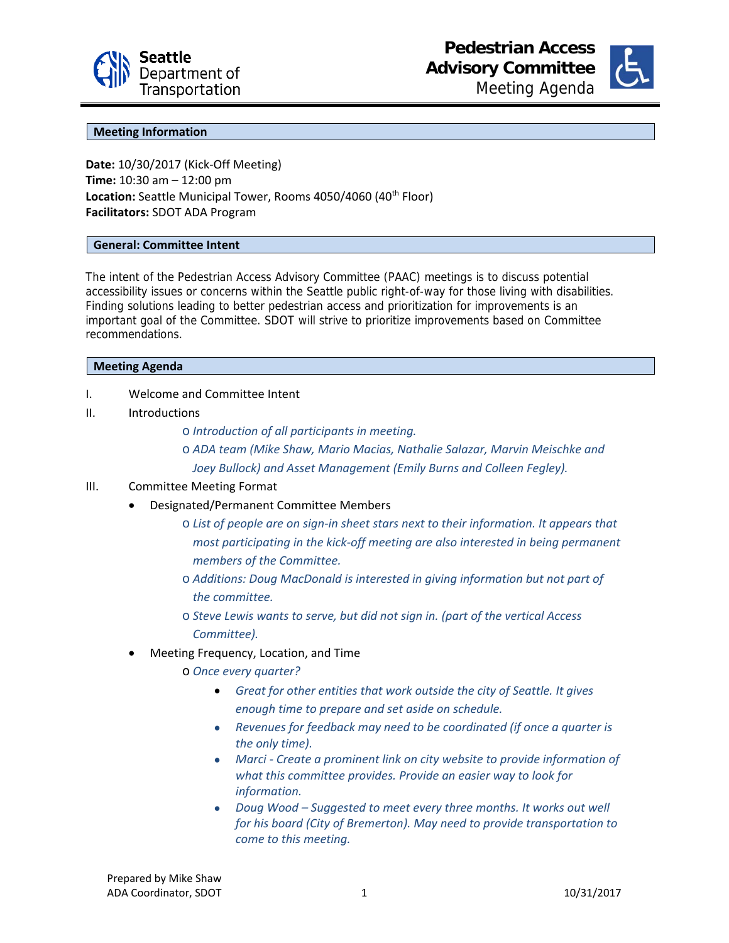

**Pedestrian Access Advisory Committee** Meeting Agenda



### **Meeting Information**

**Date:** 10/30/2017 (Kick‐Off Meeting) **Time:** 10:30 am – 12:00 pm Location: Seattle Municipal Tower, Rooms 4050/4060 (40<sup>th</sup> Floor) **Facilitators:** SDOT ADA Program

### **General: Committee Intent**

The intent of the Pedestrian Access Advisory Committee (PAAC) meetings is to discuss potential accessibility issues or concerns within the Seattle public right-of-way for those living with disabilities. Finding solutions leading to better pedestrian access and prioritization for improvements is an important goal of the Committee. SDOT will strive to prioritize improvements based on Committee recommendations.

### **Meeting Agenda**

- I. Welcome and Committee Intent
- II. Introductions
	- o *Introduction of all participants in meeting.*
	- o *ADA team (Mike Shaw, Mario Macias, Nathalie Salazar, Marvin Meischke and Joey Bullock) and Asset Management (Emily Burns and Colleen Fegley).*

## III. Committee Meeting Format

- Designated/Permanent Committee Members
	- o *List of people are on sign‐in sheet stars next to their information. It appears that most participating in the kick‐off meeting are also interested in being permanent members of the Committee.*
	- o *Additions: Doug MacDonald is interested in giving information but not part of the committee.*
	- o *Steve Lewis wants to serve, but did not sign in. (part of the vertical Access Committee).*
- Meeting Frequency, Location, and Time
	- o *Once every quarter?*
		- *Great for other entities that work outside the city of Seattle. It gives enough time to prepare and set aside on schedule.*
		- *Revenues for feedback may need to be coordinated (if once a quarter is the only time).*
		- *Marci ‐ Create a prominent link on city website to provide information of what this committee provides. Provide an easier way to look for information.*
		- *Doug Wood – Suggested to meet every three months. It works out well for his board (City of Bremerton). May need to provide transportation to come to this meeting.*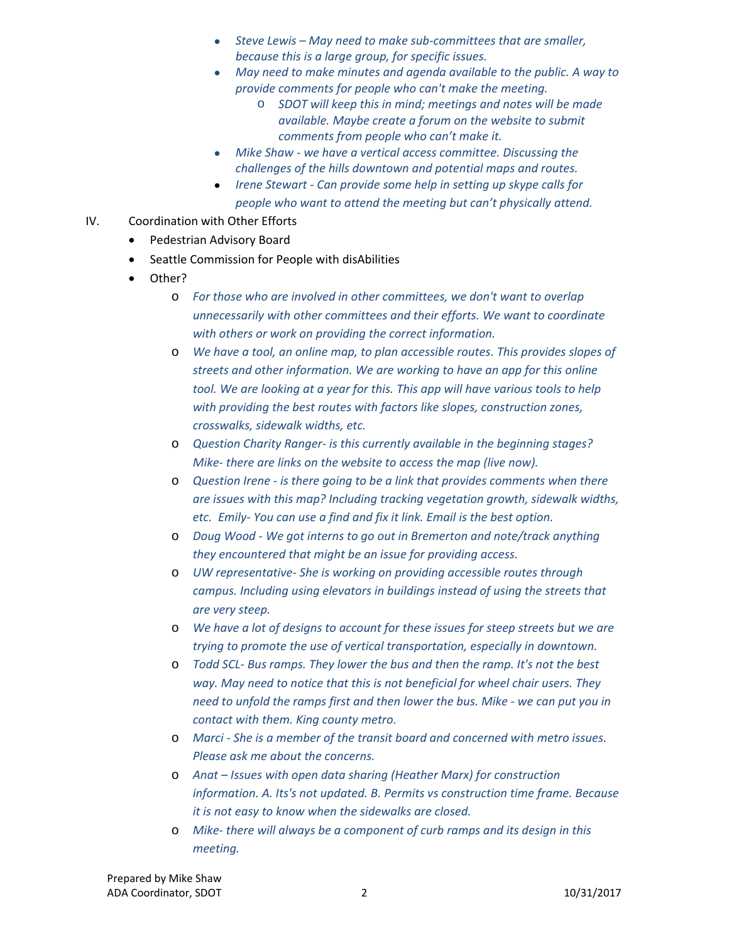- *Steve Lewis – May need to make sub‐committees that are smaller, because this is a large group, for specific issues.*
- *May need to make minutes and agenda available to the public. A way to provide comments for people who can't make the meeting.* 
	- o *SDOT will keep this in mind; meetings and notes will be made available. Maybe create a forum on the website to submit comments from people who can't make it.*
- *Mike Shaw ‐ we have a vertical access committee. Discussing the challenges of the hills downtown and potential maps and routes.*
- *Irene Stewart ‐ Can provide some help in setting up skype calls for people who want to attend the meeting but can't physically attend.*
- IV. Coordination with Other Efforts
	- Pedestrian Advisory Board
	- Seattle Commission for People with disAbilities
	- Other?
		- o *For those who are involved in other committees, we don't want to overlap unnecessarily with other committees and their efforts. We want to coordinate with others or work on providing the correct information.*
		- o *We have a tool, an online map, to plan accessible routes. This provides slopes of streets and other information. We are working to have an app for this online tool. We are looking at a year for this. This app will have various tools to help with providing the best routes with factors like slopes, construction zones, crosswalks, sidewalk widths, etc.*
		- o *Question Charity Ranger‐ is this currently available in the beginning stages? Mike‐ there are links on the website to access the map (live now).*
		- o *Question Irene ‐ is there going to be a link that provides comments when there are issues with this map? Including tracking vegetation growth, sidewalk widths, etc. Emily‐ You can use a find and fix it link. Email is the best option.*
		- o *Doug Wood ‐ We got interns to go out in Bremerton and note/track anything they encountered that might be an issue for providing access.*
		- o *UW representative‐ She is working on providing accessible routes through campus. Including using elevators in buildings instead of using the streets that are very steep.*
		- o *We have a lot of designs to account for these issues for steep streets but we are trying to promote the use of vertical transportation, especially in downtown.*
		- o *Todd SCL‐ Bus ramps. They lower the bus and then the ramp. It's not the best way. May need to notice that this is not beneficial for wheel chair users. They need to unfold the ramps first and then lower the bus. Mike ‐ we can put you in contact with them. King county metro.*
		- o *Marci ‐ She is a member of the transit board and concerned with metro issues. Please ask me about the concerns.*
		- o *Anat – Issues with open data sharing (Heather Marx) for construction information. A. Its's not updated. B. Permits vs construction time frame. Because it is not easy to know when the sidewalks are closed.*
		- o *Mike‐ there will always be a component of curb ramps and its design in this meeting.*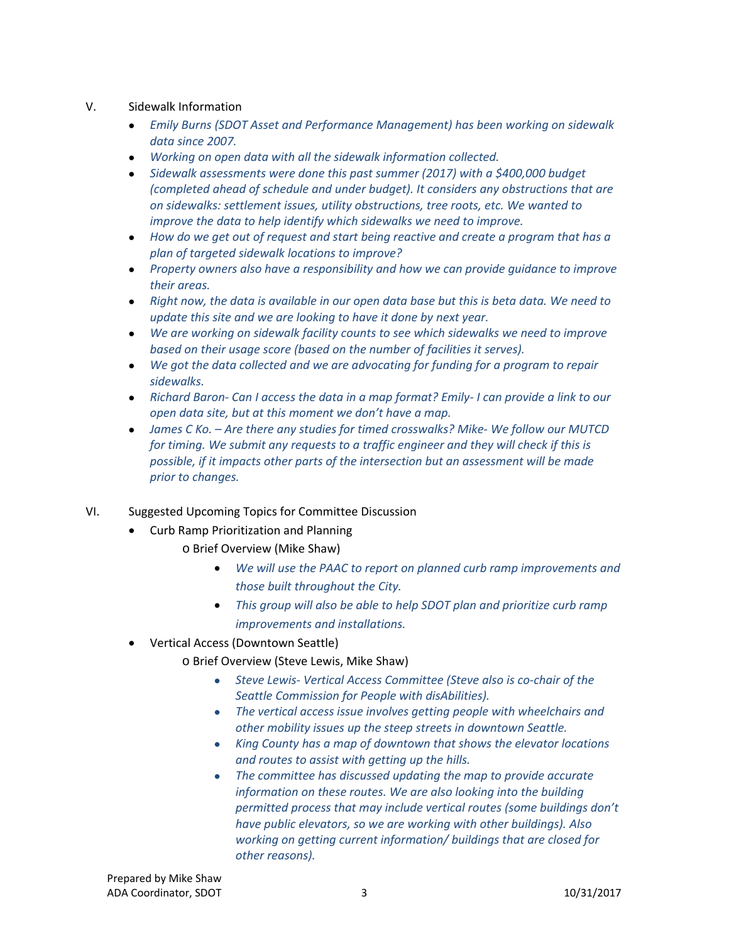# V. Sidewalk Information

- *Emily Burns (SDOT Asset and Performance Management) has been working on sidewalk data since 2007.*
- *Working on open data with all the sidewalk information collected.*
- *Sidewalk assessments were done this past summer (2017) with a \$400,000 budget (completed ahead of schedule and under budget). It considers any obstructions that are on sidewalks: settlement issues, utility obstructions, tree roots, etc. We wanted to improve the data to help identify which sidewalks we need to improve.*
- *How do we get out of request and start being reactive and create a program that has a plan of targeted sidewalk locations to improve?*
- *Property owners also have a responsibility and how we can provide guidance to improve their areas.*
- *Right now, the data is available in our open data base but this is beta data. We need to update this site and we are looking to have it done by next year.*
- *We are working on sidewalk facility counts to see which sidewalks we need to improve based on their usage score (based on the number of facilities it serves).*
- *We got the data collected and we are advocating for funding for a program to repair sidewalks.*
- Richard Baron- Can I access the data in a map format? Emily- I can provide a link to our *open data site, but at this moment we don't have a map.*
- *James C Ko. – Are there any studies for timed crosswalks? Mike‐ We follow our MUTCD for timing. We submit any requests to a traffic engineer and they will check if this is possible, if it impacts other parts of the intersection but an assessment will be made prior to changes.*
- VI. Suggested Upcoming Topics for Committee Discussion
	- Curb Ramp Prioritization and Planning
		- o Brief Overview (Mike Shaw)
			- *We will use the PAAC to report on planned curb ramp improvements and those built throughout the City.*
			- *This group will also be able to help SDOT plan and prioritize curb ramp improvements and installations.*
	- Vertical Access (Downtown Seattle)
		- o Brief Overview (Steve Lewis, Mike Shaw)
			- *Steve Lewis‐ Vertical Access Committee (Steve also is co‐chair of the Seattle Commission for People with disAbilities).*
			- *The vertical access issue involves getting people with wheelchairs and other mobility issues up the steep streets in downtown Seattle.*
			- *King County has a map of downtown that shows the elevator locations and routes to assist with getting up the hills.*
			- *The committee has discussed updating the map to provide accurate information on these routes. We are also looking into the building permitted process that may include vertical routes (some buildings don't have public elevators, so we are working with other buildings). Also working on getting current information/ buildings that are closed for other reasons).*